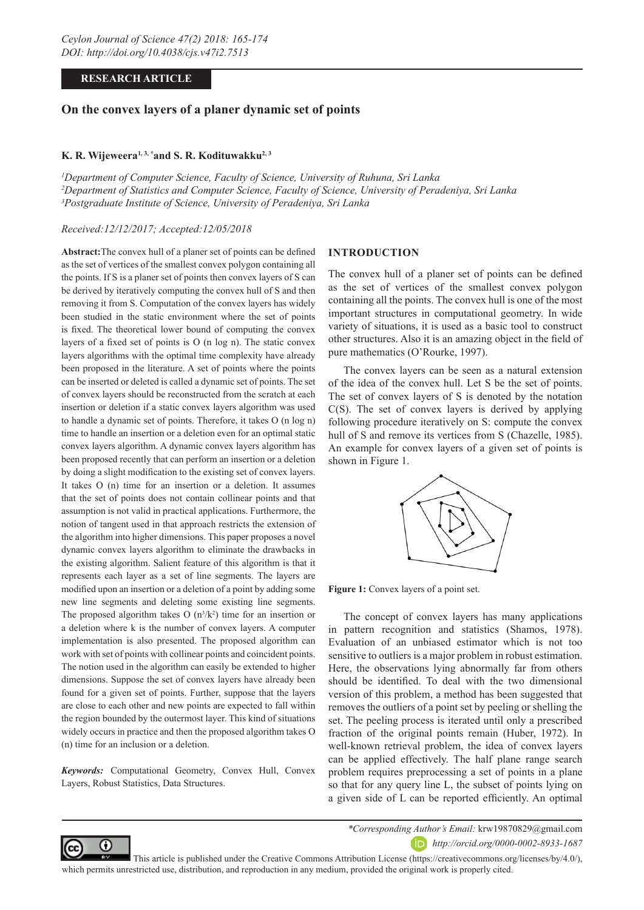# **RESEARCH ARTICLE**

# **On the convex layers of a planer dynamic set of points**

# K. R. Wijeweera<sup>1, 3, \*</sup>and S. R. Kodituwakku<sup>2, 3</sup>

*1 Department of Computer Science, Faculty of Science, University of Ruhuna, Sri Lanka 2 Department of Statistics and Computer Science, Faculty of Science, University of Peradeniya, Sri Lanka 3 Postgraduate Institute of Science, University of Peradeniya, Sri Lanka*

*Received:12/12/2017; Accepted:12/05/2018*

**Abstract:**The convex hull of a planer set of points can be defined as the set of vertices of the smallest convex polygon containing all the points. If S is a planer set of points then convex layers of S can be derived by iteratively computing the convex hull of S and then removing it from S. Computation of the convex layers has widely been studied in the static environment where the set of points is fixed. The theoretical lower bound of computing the convex layers of a fixed set of points is O (n log n). The static convex layers algorithms with the optimal time complexity have already been proposed in the literature. A set of points where the points can be inserted or deleted is called a dynamic set of points. The set of convex layers should be reconstructed from the scratch at each insertion or deletion if a static convex layers algorithm was used to handle a dynamic set of points. Therefore, it takes O (n log n) time to handle an insertion or a deletion even for an optimal static convex layers algorithm. A dynamic convex layers algorithm has been proposed recently that can perform an insertion or a deletion by doing a slight modification to the existing set of convex layers. It takes O (n) time for an insertion or a deletion. It assumes that the set of points does not contain collinear points and that assumption is not valid in practical applications. Furthermore, the notion of tangent used in that approach restricts the extension of the algorithm into higher dimensions. This paper proposes a novel dynamic convex layers algorithm to eliminate the drawbacks in the existing algorithm. Salient feature of this algorithm is that it represents each layer as a set of line segments. The layers are modified upon an insertion or a deletion of a point by adding some new line segments and deleting some existing line segments. The proposed algorithm takes  $O(n^3/k^2)$  time for an insertion or a deletion where k is the number of convex layers. A computer implementation is also presented. The proposed algorithm can work with set of points with collinear points and coincident points. The notion used in the algorithm can easily be extended to higher dimensions. Suppose the set of convex layers have already been found for a given set of points. Further, suppose that the layers are close to each other and new points are expected to fall within the region bounded by the outermost layer. This kind of situations widely occurs in practice and then the proposed algorithm takes O (n) time for an inclusion or a deletion.

*Keywords:* Computational Geometry, Convex Hull, Convex Layers, Robust Statistics, Data Structures.

### **INTRODUCTION**

The convex hull of a planer set of points can be defined as the set of vertices of the smallest convex polygon containing all the points. The convex hull is one of the most important structures in computational geometry. In wide variety of situations, it is used as a basic tool to construct other structures. Also it is an amazing object in the field of pure mathematics (O'Rourke, 1997).

The convex layers can be seen as a natural extension of the idea of the convex hull. Let S be the set of points. The set of convex layers of S is denoted by the notation C(S). The set of convex layers is derived by applying following procedure iteratively on S: compute the convex hull of S and remove its vertices from S (Chazelle, 1985). An example for convex layers of a given set of points is shown in Figure 1.



Figure 1: Convex layers of a point set.

The concept of convex layers has many applications in pattern recognition and statistics (Shamos, 1978). Evaluation of an unbiased estimator which is not too sensitive to outliers is a major problem in robust estimation. Here, the observations lying abnormally far from others should be identified. To deal with the two dimensional version of this problem, a method has been suggested that removes the outliers of a point set by peeling or shelling the set. The peeling process is iterated until only a prescribed fraction of the original points remain (Huber, 1972). In well-known retrieval problem, the idea of convex layers can be applied effectively. The half plane range search problem requires preprocessing a set of points in a plane so that for any query line L, the subset of points lying on a given side of L can be reported efficiently. An optimal



*\*Corresponding Author's Email:* krw19870829@gmail.com

*http://orcid.org/0000-0002-8933-1687*

 This article is published under the Creative Commons Attribution License (https://creativecommons.org/licenses/by/4.0/), which permits unrestricted use, distribution, and reproduction in any medium, provided the original work is properly cited.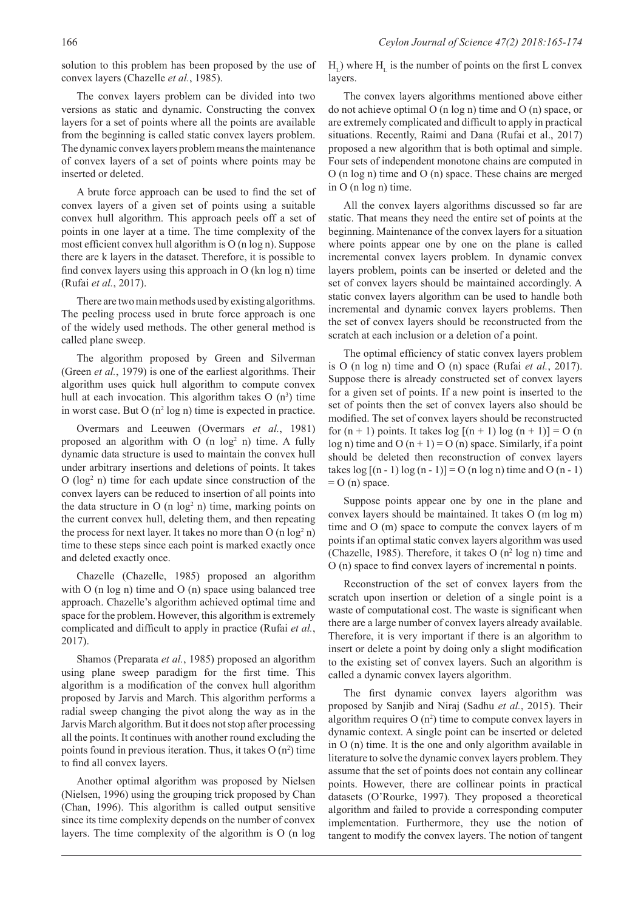solution to this problem has been proposed by the use of convex layers (Chazelle *et al.*, 1985).

The convex layers problem can be divided into two versions as static and dynamic. Constructing the convex layers for a set of points where all the points are available from the beginning is called static convex layers problem. The dynamic convex layers problem means the maintenance of convex layers of a set of points where points may be inserted or deleted.

A brute force approach can be used to find the set of convex layers of a given set of points using a suitable convex hull algorithm. This approach peels off a set of points in one layer at a time. The time complexity of the most efficient convex hull algorithm is O (n log n). Suppose there are k layers in the dataset. Therefore, it is possible to find convex layers using this approach in O (kn log n) time (Rufai *et al.*, 2017).

There are two main methods used by existing algorithms. The peeling process used in brute force approach is one of the widely used methods. The other general method is called plane sweep.

The algorithm proposed by Green and Silverman (Green *et al.*, 1979) is one of the earliest algorithms. Their algorithm uses quick hull algorithm to compute convex hull at each invocation. This algorithm takes  $O(n^3)$  time in worst case. But  $O(n^2 \log n)$  time is expected in practice.

Overmars and Leeuwen (Overmars *et al.*, 1981) proposed an algorithm with  $O$  (n  $log<sup>2</sup>$  n) time. A fully dynamic data structure is used to maintain the convex hull under arbitrary insertions and deletions of points. It takes O (log<sup>2</sup> n) time for each update since construction of the convex layers can be reduced to insertion of all points into the data structure in  $O$  (n  $log<sup>2</sup>$  n) time, marking points on the current convex hull, deleting them, and then repeating the process for next layer. It takes no more than  $O(n \log^2 n)$ time to these steps since each point is marked exactly once and deleted exactly once.

Chazelle (Chazelle, 1985) proposed an algorithm with O (n log n) time and O (n) space using balanced tree approach. Chazelle's algorithm achieved optimal time and space for the problem. However, this algorithm is extremely complicated and difficult to apply in practice (Rufai *et al.*, 2017).

Shamos (Preparata *et al.*, 1985) proposed an algorithm using plane sweep paradigm for the first time. This algorithm is a modification of the convex hull algorithm proposed by Jarvis and March. This algorithm performs a radial sweep changing the pivot along the way as in the Jarvis March algorithm. But it does not stop after processing all the points. It continues with another round excluding the points found in previous iteration. Thus, it takes  $O(n^2)$  time to find all convex layers.

Another optimal algorithm was proposed by Nielsen (Nielsen, 1996) using the grouping trick proposed by Chan (Chan, 1996). This algorithm is called output sensitive since its time complexity depends on the number of convex layers. The time complexity of the algorithm is O (n log  $H_{\text{L}}$ ) where  $H_{\text{L}}$  is the number of points on the first L convex layers.

The convex layers algorithms mentioned above either do not achieve optimal O (n log n) time and O (n) space, or are extremely complicated and difficult to apply in practical situations. Recently, Raimi and Dana (Rufai et al., 2017) proposed a new algorithm that is both optimal and simple. Four sets of independent monotone chains are computed in O (n log n) time and O (n) space. These chains are merged in O (n log n) time.

All the convex layers algorithms discussed so far are static. That means they need the entire set of points at the beginning. Maintenance of the convex layers for a situation where points appear one by one on the plane is called incremental convex layers problem. In dynamic convex layers problem, points can be inserted or deleted and the set of convex layers should be maintained accordingly. A static convex layers algorithm can be used to handle both incremental and dynamic convex layers problems. Then the set of convex layers should be reconstructed from the scratch at each inclusion or a deletion of a point.

The optimal efficiency of static convex layers problem is O (n log n) time and O (n) space (Rufai *et al.*, 2017). Suppose there is already constructed set of convex layers for a given set of points. If a new point is inserted to the set of points then the set of convex layers also should be modified. The set of convex layers should be reconstructed for  $(n + 1)$  points. It takes  $log [(n + 1) log (n + 1)] = O (n)$  $log n$ ) time and O  $(n + 1) = O(n)$  space. Similarly, if a point should be deleted then reconstruction of convex layers takes  $log[(n-1)log(n-1)] = O(n log n)$  time and O  $(n-1)$  $= O (n)$  space.

Suppose points appear one by one in the plane and convex layers should be maintained. It takes O (m log m) time and O (m) space to compute the convex layers of m points if an optimal static convex layers algorithm was used (Chazelle, 1985). Therefore, it takes  $O(n^2 \log n)$  time and O (n) space to find convex layers of incremental n points.

Reconstruction of the set of convex layers from the scratch upon insertion or deletion of a single point is a waste of computational cost. The waste is significant when there are a large number of convex layers already available. Therefore, it is very important if there is an algorithm to insert or delete a point by doing only a slight modification to the existing set of convex layers. Such an algorithm is called a dynamic convex layers algorithm.

The first dynamic convex layers algorithm was proposed by Sanjib and Niraj (Sadhu *et al.*, 2015). Their algorithm requires  $O(n^2)$  time to compute convex layers in dynamic context. A single point can be inserted or deleted in O (n) time. It is the one and only algorithm available in literature to solve the dynamic convex layers problem. They assume that the set of points does not contain any collinear points. However, there are collinear points in practical datasets (O'Rourke, 1997). They proposed a theoretical algorithm and failed to provide a corresponding computer implementation. Furthermore, they use the notion of tangent to modify the convex layers. The notion of tangent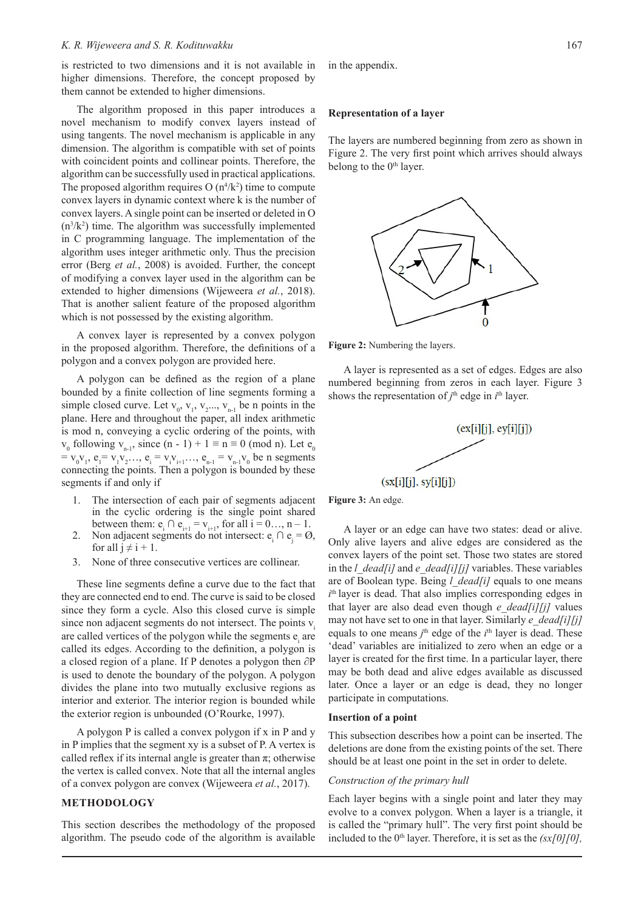### *K. R. Wijeweera and S. R. Kodituwakku*

is restricted to two dimensions and it is not available in higher dimensions. Therefore, the concept proposed by them cannot be extended to higher dimensions.

The algorithm proposed in this paper introduces a novel mechanism to modify convex layers instead of using tangents. The novel mechanism is applicable in any dimension. The algorithm is compatible with set of points with coincident points and collinear points. Therefore, the algorithm can be successfully used in practical applications. The proposed algorithm requires  $O(n^4/k^2)$  time to compute convex layers in dynamic context where k is the number of convex layers. A single point can be inserted or deleted in O  $(n<sup>3</sup>/k<sup>2</sup>)$  time. The algorithm was successfully implemented in C programming language. The implementation of the algorithm uses integer arithmetic only. Thus the precision error (Berg *et al.*, 2008) is avoided. Further, the concept of modifying a convex layer used in the algorithm can be extended to higher dimensions (Wijeweera *et al.*, 2018). That is another salient feature of the proposed algorithm which is not possessed by the existing algorithm.

A convex layer is represented by a convex polygon in the proposed algorithm. Therefore, the definitions of a polygon and a convex polygon are provided here.

A polygon can be defined as the region of a plane bounded by a finite collection of line segments forming a simple closed curve. Let  $v_0$ ,  $v_1$ ,  $v_2$ ...,  $v_{n-1}$  be n points in the plane. Here and throughout the paper, all index arithmetic is mod n, conveying a cyclic ordering of the points, with  $v_0$  following  $v_{n-1}$ , since  $(n - 1) + 1 \equiv n \equiv 0 \pmod{n}$ . Let  $e_0$  $= v_0 v_1, e_1 = v_1 v_2 \dots, e_i = v_i v_{i+1} \dots, e_{n-1} = v_{n-1} v_0$  be n segments connecting the points. Then a polygon is bounded by these segments if and only if

- 1. The intersection of each pair of segments adjacent in the cyclic ordering is the single point shared between them:  $e_i \cap e_{i+1} = v_{i+1}$ , for all  $i = 0...$ ,  $n - 1$ .
- 2. Non adjacent segments do not intersect:  $e_i \cap e_j = \emptyset$ , for all  $j \neq i + 1$ .
- 3. None of three consecutive vertices are collinear.

These line segments define a curve due to the fact that they are connected end to end. The curve is said to be closed since they form a cycle. Also this closed curve is simple since non adjacent segments do not intersect. The points v are called vertices of the polygon while the segments  $e_i$  are called its edges. According to the definition, a polygon is a closed region of a plane. If P denotes a polygon then ∂P is used to denote the boundary of the polygon. A polygon divides the plane into two mutually exclusive regions as interior and exterior. The interior region is bounded while the exterior region is unbounded (O'Rourke, 1997).

A polygon P is called a convex polygon if x in P and y in P implies that the segment xy is a subset of P. A vertex is called reflex if its internal angle is greater than  $\pi$ ; otherwise the vertex is called convex. Note that all the internal angles of a convex polygon are convex (Wijeweera *et al.*, 2017).

# **METHODOLOGY**

This section describes the methodology of the proposed algorithm. The pseudo code of the algorithm is available in the appendix.

### **Representation of a layer**

The layers are numbered beginning from zero as shown in Figure 2. The very first point which arrives should always belong to the  $0<sup>th</sup>$  layer.



**Figure 2:** Numbering the layers.

A layer is represented as a set of edges. Edges are also numbered beginning from zeros in each layer. Figure 3 shows the representation of  $j^{\text{th}}$  edge in  $i^{\text{th}}$  layer.



**Figure 3:** An edge.

A layer or an edge can have two states: dead or alive. Only alive layers and alive edges are considered as the convex layers of the point set. Those two states are stored in the *l\_dead[i]* and *e\_dead[i][j]* variables. These variables are of Boolean type. Being *l\_dead[i]* equals to one means  $i<sup>th</sup>$  layer is dead. That also implies corresponding edges in that layer are also dead even though *e\_dead[i][j]* values may not have set to one in that layer. Similarly *e\_dead[i][j]* equals to one means  $j^{\text{th}}$  edge of the  $i^{\text{th}}$  layer is dead. These 'dead' variables are initialized to zero when an edge or a layer is created for the first time. In a particular layer, there may be both dead and alive edges available as discussed later. Once a layer or an edge is dead, they no longer participate in computations.

#### **Insertion of a point**

This subsection describes how a point can be inserted. The deletions are done from the existing points of the set. There should be at least one point in the set in order to delete.

### *Construction of the primary hull*

Each layer begins with a single point and later they may evolve to a convex polygon. When a layer is a triangle, it is called the "primary hull". The very first point should be included to the 0<sup>th</sup> layer. Therefore, it is set as the *(sx[0][0]*,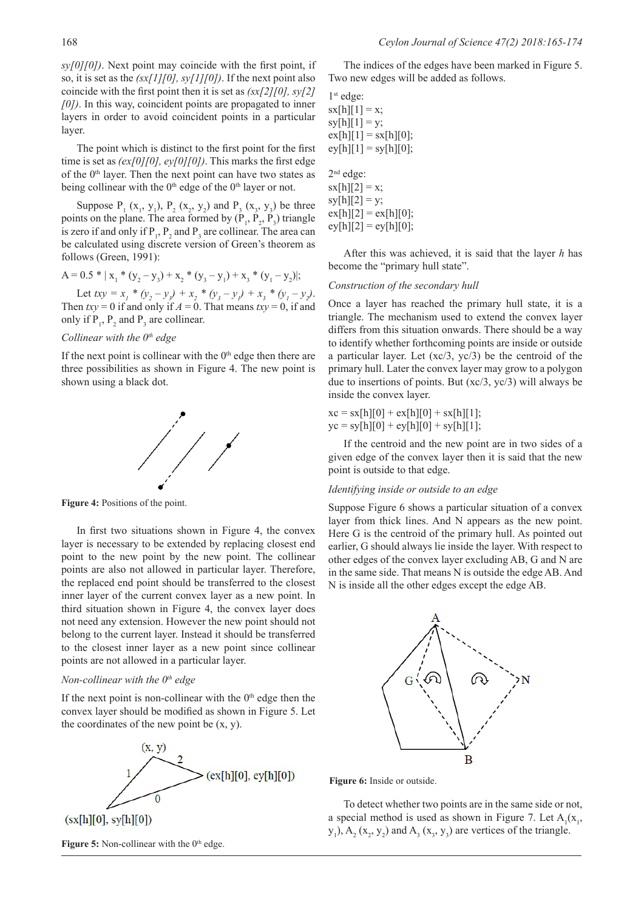*sy[0][0])*. Next point may coincide with the first point, if so, it is set as the *(sx[1][0], sy[1][0])*. If the next point also coincide with the first point then it is set as *(sx[2][0], sy[2] [0])*. In this way, coincident points are propagated to inner layers in order to avoid coincident points in a particular layer.

The point which is distinct to the first point for the first time is set as *(ex[0][0], ey[0][0])*. This marks the first edge of the  $0<sup>th</sup>$  layer. Then the next point can have two states as being collinear with the  $0<sup>th</sup>$  edge of the  $0<sup>th</sup>$  layer or not.

Suppose  $P_1(x_1, y_1), P_2(x_2, y_2)$  and  $P_3(x_3, y_3)$  be three points on the plane. The area formed by  $(P_1, P_2, P_3)$  triangle is zero if and only if  $P_1$ ,  $P_2$  and  $P_3$  are collinear. The area can be calculated using discrete version of Green's theorem as follows (Green, 1991):

$$
A = 0.5 * | x_1 * (y_2 - y_3) + x_2 * (y_3 - y_1) + x_3 * (y_1 - y_2)|;
$$

Let  $txy = x_1 * (y_2 - y_3) + x_2 * (y_3 - y_1) + x_3 * (y_1 - y_2)$ . Then  $txy = 0$  if and only if  $A = 0$ . That means  $txy = 0$ , if and only if  $P_1$ ,  $P_2$  and  $P_3$  are collinear.

## *Collinear with the 0<sup>th</sup> edge*

If the next point is collinear with the  $0<sup>th</sup>$  edge then there are three possibilities as shown in Figure 4. The new point is shown using a black dot.



**Figure 4:** Positions of the point.

In first two situations shown in Figure 4, the convex layer is necessary to be extended by replacing closest end point to the new point by the new point. The collinear points are also not allowed in particular layer. Therefore, the replaced end point should be transferred to the closest inner layer of the current convex layer as a new point. In third situation shown in Figure 4, the convex layer does not need any extension. However the new point should not belong to the current layer. Instead it should be transferred to the closest inner layer as a new point since collinear points are not allowed in a particular layer.

# *Non-collinear with the 0<sup>th</sup> edge*

If the next point is non-collinear with the  $0<sup>th</sup>$  edge then the convex layer should be modified as shown in Figure 5. Let the coordinates of the new point be  $(x, y)$ .



Figure 5: Non-collinear with the 0<sup>th</sup> edge.

The indices of the edges have been marked in Figure 5. Two new edges will be added as follows.

1st edge:  $sx[h][1] = x;$  $sy[h][1] = y;$  $ex[h][1] = sx[h][0];$  $ev[h][1] = sv[h][0];$ 

2nd edge:  $sx[h][2] = x;$  $sy[h][2] = y;$  $ex[h][2] = ex[h][0];$  $ey[h][2] = ey[h][0];$ 

After this was achieved, it is said that the layer *h* has become the "primary hull state".

### *Construction of the secondary hull*

Once a layer has reached the primary hull state, it is a triangle. The mechanism used to extend the convex layer differs from this situation onwards. There should be a way to identify whether forthcoming points are inside or outside a particular layer. Let (xc/3, yc/3) be the centroid of the primary hull. Later the convex layer may grow to a polygon due to insertions of points. But  $(xc/3, yc/3)$  will always be inside the convex layer.

 $xc = sx[h][0] + ex[h][0] + sx[h][1];$  $yc = sy[h][0] + ey[h][0] + sy[h][1];$ 

If the centroid and the new point are in two sides of a given edge of the convex layer then it is said that the new point is outside to that edge.

# *Identifying inside or outside to an edge*

Suppose Figure 6 shows a particular situation of a convex layer from thick lines. And N appears as the new point. Here G is the centroid of the primary hull. As pointed out earlier, G should always lie inside the layer. With respect to other edges of the convex layer excluding AB, G and N are in the same side. That means N is outside the edge AB. And N is inside all the other edges except the edge AB.



**Figure 6:** Inside or outside.

To detect whether two points are in the same side or not, a special method is used as shown in Figure 7. Let  $A_1(x_1,$  $y_1$ ),  $A_2$  ( $x_2$ ,  $y_2$ ) and  $A_3$  ( $x_3$ ,  $y_3$ ) are vertices of the triangle.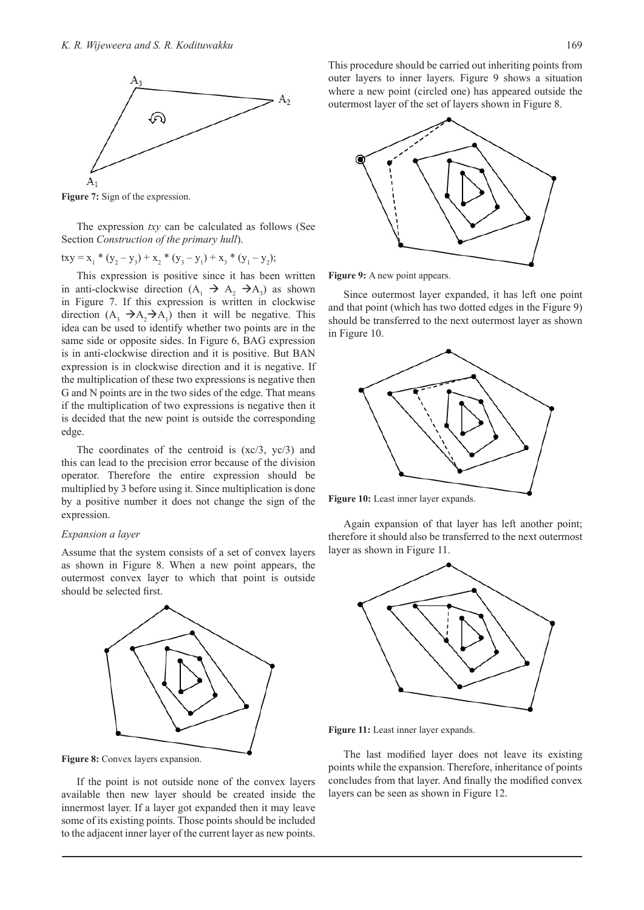

**Figure 7:** Sign of the expression.

The expression *txy* can be calculated as follows (See Section *Construction of the primary hull*).

$$
txy = x_1 * (y_2 - y_3) + x_2 * (y_3 - y_1) + x_3 * (y_1 - y_2);
$$

This expression is positive since it has been written in anti-clockwise direction  $(A_1 \rightarrow A_2 \rightarrow A_3)$  as shown in Figure 7. If this expression is written in clockwise direction  $(A_3 \rightarrow A_2 \rightarrow A_1)$  then it will be negative. This idea can be used to identify whether two points are in the same side or opposite sides. In Figure 6, BAG expression is in anti-clockwise direction and it is positive. But BAN expression is in clockwise direction and it is negative. If the multiplication of these two expressions is negative then G and N points are in the two sides of the edge. That means if the multiplication of two expressions is negative then it is decided that the new point is outside the corresponding edge.

The coordinates of the centroid is  $(xc/3, yc/3)$  and this can lead to the precision error because of the division operator. Therefore the entire expression should be multiplied by 3 before using it. Since multiplication is done by a positive number it does not change the sign of the expression.

## *Expansion a layer*

Assume that the system consists of a set of convex layers as shown in Figure 8. When a new point appears, the outermost convex layer to which that point is outside should be selected first.





If the point is not outside none of the convex layers available then new layer should be created inside the innermost layer. If a layer got expanded then it may leave some of its existing points. Those points should be included to the adjacent inner layer of the current layer as new points.

This procedure should be carried out inheriting points from outer layers to inner layers. Figure 9 shows a situation where a new point (circled one) has appeared outside the outermost layer of the set of layers shown in Figure 8.



Figure 9: A new point appears.

Since outermost layer expanded, it has left one point and that point (which has two dotted edges in the Figure 9) should be transferred to the next outermost layer as shown in Figure 10.



**Figure 10:** Least inner layer expands.

Again expansion of that layer has left another point; therefore it should also be transferred to the next outermost layer as shown in Figure 11.



**Figure 11:** Least inner layer expands.

The last modified layer does not leave its existing points while the expansion. Therefore, inheritance of points concludes from that layer. And finally the modified convex layers can be seen as shown in Figure 12.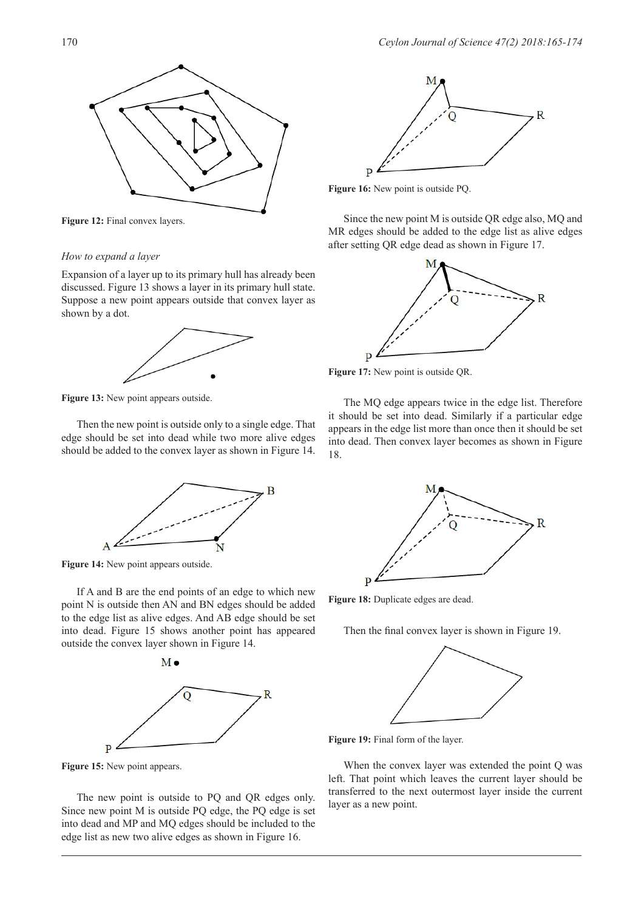

Figure 12: Final convex layers.

#### *How to expand a layer*

Expansion of a layer up to its primary hull has already been discussed. Figure 13 shows a layer in its primary hull state. Suppose a new point appears outside that convex layer as shown by a dot.



**Figure 13:** New point appears outside.

Then the new point is outside only to a single edge. That edge should be set into dead while two more alive edges should be added to the convex layer as shown in Figure 14.



**Figure 14:** New point appears outside.

If A and B are the end points of an edge to which new point N is outside then AN and BN edges should be added to the edge list as alive edges. And AB edge should be set into dead. Figure 15 shows another point has appeared outside the convex layer shown in Figure 14.



**Figure 15:** New point appears.

The new point is outside to PQ and QR edges only. Since new point M is outside PQ edge, the PQ edge is set into dead and MP and MQ edges should be included to the edge list as new two alive edges as shown in Figure 16.



**Figure 16:** New point is outside PQ.

Since the new point M is outside QR edge also, MQ and MR edges should be added to the edge list as alive edges after setting QR edge dead as shown in Figure 17.



**Figure 17:** New point is outside QR.

The MQ edge appears twice in the edge list. Therefore it should be set into dead. Similarly if a particular edge appears in the edge list more than once then it should be set into dead. Then convex layer becomes as shown in Figure 18.



Figure 18: Duplicate edges are dead.

Then the final convex layer is shown in Figure 19.



**Figure 19:** Final form of the layer.

When the convex layer was extended the point Q was left. That point which leaves the current layer should be transferred to the next outermost layer inside the current layer as a new point.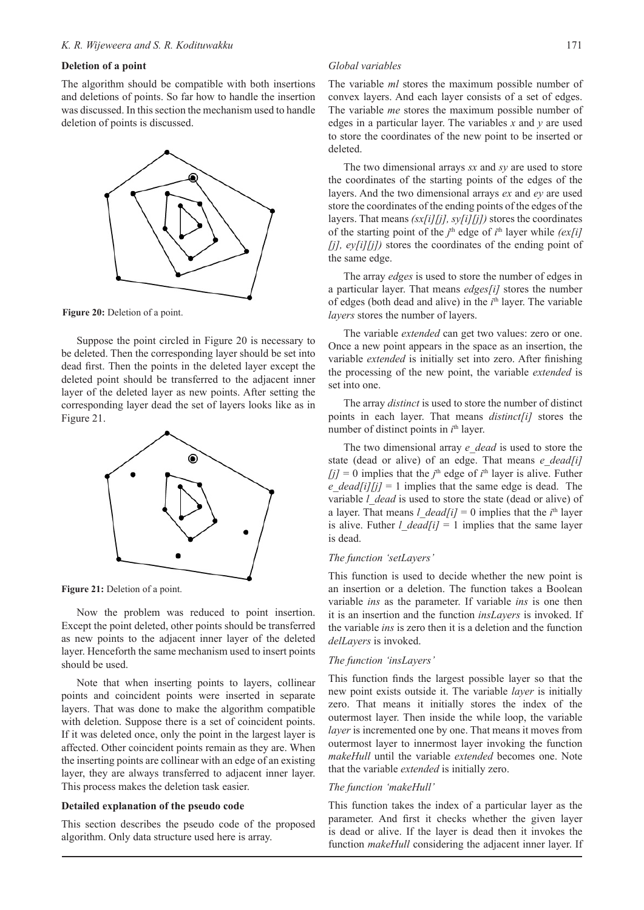# **Deletion of a point**

The algorithm should be compatible with both insertions and deletions of points. So far how to handle the insertion was discussed. In this section the mechanism used to handle deletion of points is discussed.



**Figure 20:** Deletion of a point.

Suppose the point circled in Figure 20 is necessary to be deleted. Then the corresponding layer should be set into dead first. Then the points in the deleted layer except the deleted point should be transferred to the adjacent inner layer of the deleted layer as new points. After setting the corresponding layer dead the set of layers looks like as in Figure 21.



Figure 21: Deletion of a point.

Now the problem was reduced to point insertion. Except the point deleted, other points should be transferred as new points to the adjacent inner layer of the deleted layer. Henceforth the same mechanism used to insert points should be used.

Note that when inserting points to layers, collinear points and coincident points were inserted in separate layers. That was done to make the algorithm compatible with deletion. Suppose there is a set of coincident points. If it was deleted once, only the point in the largest layer is affected. Other coincident points remain as they are. When the inserting points are collinear with an edge of an existing layer, they are always transferred to adjacent inner layer. This process makes the deletion task easier.

#### **Detailed explanation of the pseudo code**

This section describes the pseudo code of the proposed algorithm. Only data structure used here is array.

#### *Global variables*

The variable *ml* stores the maximum possible number of convex layers. And each layer consists of a set of edges. The variable *me* stores the maximum possible number of edges in a particular layer. The variables *x* and *y* are used to store the coordinates of the new point to be inserted or deleted.

The two dimensional arrays *sx* and *sy* are used to store the coordinates of the starting points of the edges of the layers. And the two dimensional arrays *ex* and *ey* are used store the coordinates of the ending points of the edges of the layers. That means *(sx[i][j], sy[i][j])* stores the coordinates of the starting point of the  $j^{\text{th}}$  edge of  $i^{\text{th}}$  layer while  $(ex[i]]$ *[j], ey[i][j])* stores the coordinates of the ending point of the same edge.

The array *edges* is used to store the number of edges in a particular layer. That means *edges[i]* stores the number of edges (both dead and alive) in the *i*<sup>th</sup> layer. The variable *layers* stores the number of layers.

The variable *extended* can get two values: zero or one. Once a new point appears in the space as an insertion, the variable *extended* is initially set into zero. After finishing the processing of the new point, the variable *extended* is set into one.

The array *distinct* is used to store the number of distinct points in each layer. That means *distinct[i]* stores the number of distinct points in *i*<sup>th</sup> layer.

The two dimensional array *e\_dead* is used to store the state (dead or alive) of an edge. That means *e* dead[i]  $[j] = 0$  implies that the *j*<sup>th</sup> edge of *i*<sup>th</sup> layer is alive. Futher *e* dead[i][j] = 1 implies that the same edge is dead. The variable *l* dead is used to store the state (dead or alive) of a layer. That means  $l$  *dead*[i] = 0 implies that the  $i<sup>th</sup>$  layer is alive. Futher  $l$  *dead[i]* = 1 implies that the same layer is dead.

# *The function 'setLayers'*

This function is used to decide whether the new point is an insertion or a deletion. The function takes a Boolean variable *ins* as the parameter. If variable *ins* is one then it is an insertion and the function *insLayers* is invoked. If the variable *ins* is zero then it is a deletion and the function *delLayers* is invoked.

## *The function 'insLayers'*

This function finds the largest possible layer so that the new point exists outside it. The variable *layer* is initially zero. That means it initially stores the index of the outermost layer. Then inside the while loop, the variable *layer* is incremented one by one. That means it moves from outermost layer to innermost layer invoking the function *makeHull* until the variable *extended* becomes one. Note that the variable *extended* is initially zero.

### *The function 'makeHull'*

This function takes the index of a particular layer as the parameter. And first it checks whether the given layer is dead or alive. If the layer is dead then it invokes the function *makeHull* considering the adjacent inner layer. If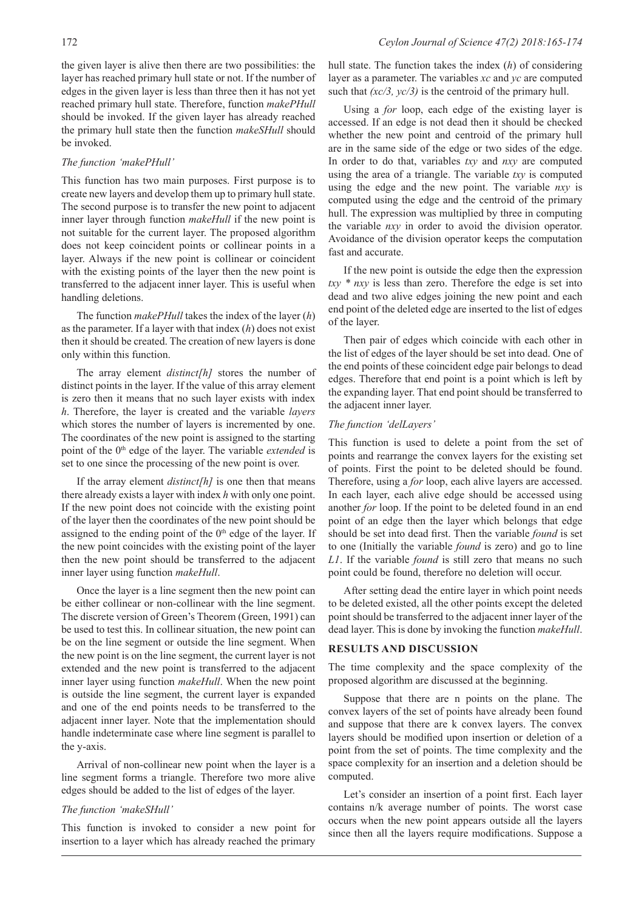the given layer is alive then there are two possibilities: the layer has reached primary hull state or not. If the number of edges in the given layer is less than three then it has not yet reached primary hull state. Therefore, function *makePHull* should be invoked. If the given layer has already reached the primary hull state then the function *makeSHull* should be invoked.

# *The function 'makePHull'*

This function has two main purposes. First purpose is to create new layers and develop them up to primary hull state. The second purpose is to transfer the new point to adjacent inner layer through function *makeHull* if the new point is not suitable for the current layer. The proposed algorithm does not keep coincident points or collinear points in a layer. Always if the new point is collinear or coincident with the existing points of the layer then the new point is transferred to the adjacent inner layer. This is useful when handling deletions.

The function *makePHull* takes the index of the layer (*h*) as the parameter. If a layer with that index (*h*) does not exist then it should be created. The creation of new layers is done only within this function.

The array element *distinct[h]* stores the number of distinct points in the layer. If the value of this array element is zero then it means that no such layer exists with index *h*. Therefore, the layer is created and the variable *layers* which stores the number of layers is incremented by one. The coordinates of the new point is assigned to the starting point of the 0<sup>th</sup> edge of the layer. The variable *extended* is set to one since the processing of the new point is over.

If the array element *distinct[h]* is one then that means there already exists a layer with index *h* with only one point. If the new point does not coincide with the existing point of the layer then the coordinates of the new point should be assigned to the ending point of the  $0<sup>th</sup>$  edge of the layer. If the new point coincides with the existing point of the layer then the new point should be transferred to the adjacent inner layer using function *makeHull*.

Once the layer is a line segment then the new point can be either collinear or non-collinear with the line segment. The discrete version of Green's Theorem (Green, 1991) can be used to test this. In collinear situation, the new point can be on the line segment or outside the line segment. When the new point is on the line segment, the current layer is not extended and the new point is transferred to the adjacent inner layer using function *makeHull*. When the new point is outside the line segment, the current layer is expanded and one of the end points needs to be transferred to the adjacent inner layer. Note that the implementation should handle indeterminate case where line segment is parallel to the y-axis.

Arrival of non-collinear new point when the layer is a line segment forms a triangle. Therefore two more alive edges should be added to the list of edges of the layer.

# *The function 'makeSHull'*

This function is invoked to consider a new point for insertion to a layer which has already reached the primary

hull state. The function takes the index (*h*) of considering layer as a parameter. The variables *xc* and *yc* are computed such that *(xc/3, yc/3)* is the centroid of the primary hull.

Using a *for* loop, each edge of the existing layer is accessed. If an edge is not dead then it should be checked whether the new point and centroid of the primary hull are in the same side of the edge or two sides of the edge. In order to do that, variables *txy* and *nxy* are computed using the area of a triangle. The variable *txy* is computed using the edge and the new point. The variable *nxy* is computed using the edge and the centroid of the primary hull. The expression was multiplied by three in computing the variable *nxy* in order to avoid the division operator. Avoidance of the division operator keeps the computation fast and accurate.

If the new point is outside the edge then the expression *txy \* nxy* is less than zero. Therefore the edge is set into dead and two alive edges joining the new point and each end point of the deleted edge are inserted to the list of edges of the layer.

Then pair of edges which coincide with each other in the list of edges of the layer should be set into dead. One of the end points of these coincident edge pair belongs to dead edges. Therefore that end point is a point which is left by the expanding layer. That end point should be transferred to the adjacent inner layer.

# *The function 'delLayers'*

This function is used to delete a point from the set of points and rearrange the convex layers for the existing set of points. First the point to be deleted should be found. Therefore, using a *for* loop, each alive layers are accessed. In each layer, each alive edge should be accessed using another *for* loop. If the point to be deleted found in an end point of an edge then the layer which belongs that edge should be set into dead first. Then the variable *found* is set to one (Initially the variable *found* is zero) and go to line *L1*. If the variable *found* is still zero that means no such point could be found, therefore no deletion will occur.

After setting dead the entire layer in which point needs to be deleted existed, all the other points except the deleted point should be transferred to the adjacent inner layer of the dead layer. This is done by invoking the function *makeHull*.

# **RESULTS AND DISCUSSION**

The time complexity and the space complexity of the proposed algorithm are discussed at the beginning.

Suppose that there are n points on the plane. The convex layers of the set of points have already been found and suppose that there are k convex layers. The convex layers should be modified upon insertion or deletion of a point from the set of points. The time complexity and the space complexity for an insertion and a deletion should be computed.

Let's consider an insertion of a point first. Each layer contains n/k average number of points. The worst case occurs when the new point appears outside all the layers since then all the layers require modifications. Suppose a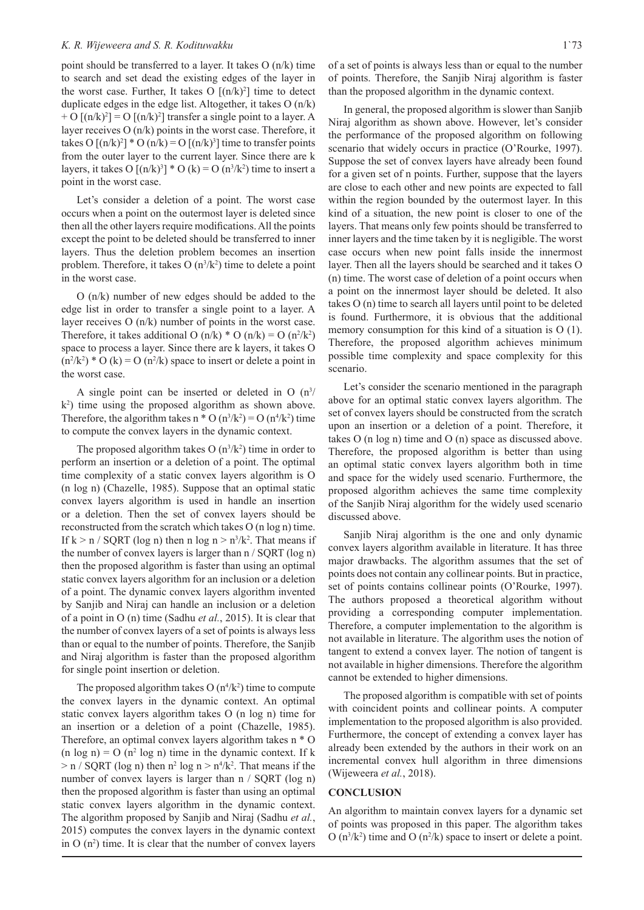point should be transferred to a layer. It takes O (n/k) time to search and set dead the existing edges of the layer in the worst case. Further, It takes  $O[(n/k)^2]$  time to detect duplicate edges in the edge list. Altogether, it takes O (n/k) + O  $[(n/k)^2]$  = O  $[(n/k)^2]$  transfer a single point to a layer. A layer receives O (n/k) points in the worst case. Therefore, it takes O  $[(n/k)^2]$  \* O  $(n/k) = O [(n/k)^3]$  time to transfer points from the outer layer to the current layer. Since there are k layers, it takes O  $[(n/k)^3] * O (k) = O (n^3/k^2)$  time to insert a point in the worst case.

Let's consider a deletion of a point. The worst case occurs when a point on the outermost layer is deleted since then all the other layers require modifications. All the points except the point to be deleted should be transferred to inner layers. Thus the deletion problem becomes an insertion problem. Therefore, it takes  $O(n^3/k^2)$  time to delete a point in the worst case.

O (n/k) number of new edges should be added to the edge list in order to transfer a single point to a layer. A layer receives O (n/k) number of points in the worst case. Therefore, it takes additional O  $(n/k) * O (n/k) = O (n^2/k^2)$ space to process a layer. Since there are k layers, it takes O  $(n^2/k^2) * O (k) = O (n^2/k)$  space to insert or delete a point in the worst case.

A single point can be inserted or deleted in O  $(n^3)$  $(k<sup>2</sup>)$  time using the proposed algorithm as shown above. Therefore, the algorithm takes  $n * O(n^3/k^2) = O(n^4/k^2)$  time to compute the convex layers in the dynamic context.

The proposed algorithm takes  $O(n^3/k^2)$  time in order to perform an insertion or a deletion of a point. The optimal time complexity of a static convex layers algorithm is O (n log n) (Chazelle, 1985). Suppose that an optimal static convex layers algorithm is used in handle an insertion or a deletion. Then the set of convex layers should be reconstructed from the scratch which takes O (n log n) time. If  $k > n / \text{SQRT}$  (log n) then n log  $n > n^3/k^2$ . That means if the number of convex layers is larger than n / SQRT (log n) then the proposed algorithm is faster than using an optimal static convex layers algorithm for an inclusion or a deletion of a point. The dynamic convex layers algorithm invented by Sanjib and Niraj can handle an inclusion or a deletion of a point in O (n) time (Sadhu *et al.*, 2015). It is clear that the number of convex layers of a set of points is always less than or equal to the number of points. Therefore, the Sanjib and Niraj algorithm is faster than the proposed algorithm for single point insertion or deletion.

The proposed algorithm takes  $O(n^4/k^2)$  time to compute the convex layers in the dynamic context. An optimal static convex layers algorithm takes O (n log n) time for an insertion or a deletion of a point (Chazelle, 1985). Therefore, an optimal convex layers algorithm takes n \* O  $(n \log n) = O(n^2 \log n)$  time in the dynamic context. If k  $>$  n / SQRT (log n) then  $n^2$  log n  $>$   $n^4/k^2$ . That means if the number of convex layers is larger than n / SQRT (log n) then the proposed algorithm is faster than using an optimal static convex layers algorithm in the dynamic context. The algorithm proposed by Sanjib and Niraj (Sadhu *et al.*, 2015) computes the convex layers in the dynamic context in  $O(n^2)$  time. It is clear that the number of convex layers

In general, the proposed algorithm is slower than Sanjib Niraj algorithm as shown above. However, let's consider the performance of the proposed algorithm on following scenario that widely occurs in practice (O'Rourke, 1997). Suppose the set of convex layers have already been found for a given set of n points. Further, suppose that the layers are close to each other and new points are expected to fall within the region bounded by the outermost layer. In this kind of a situation, the new point is closer to one of the layers. That means only few points should be transferred to inner layers and the time taken by it is negligible. The worst case occurs when new point falls inside the innermost layer. Then all the layers should be searched and it takes O (n) time. The worst case of deletion of a point occurs when a point on the innermost layer should be deleted. It also takes O (n) time to search all layers until point to be deleted is found. Furthermore, it is obvious that the additional memory consumption for this kind of a situation is O (1). Therefore, the proposed algorithm achieves minimum possible time complexity and space complexity for this scenario.

Let's consider the scenario mentioned in the paragraph above for an optimal static convex layers algorithm. The set of convex layers should be constructed from the scratch upon an insertion or a deletion of a point. Therefore, it takes O (n log n) time and O (n) space as discussed above. Therefore, the proposed algorithm is better than using an optimal static convex layers algorithm both in time and space for the widely used scenario. Furthermore, the proposed algorithm achieves the same time complexity of the Sanjib Niraj algorithm for the widely used scenario discussed above.

Sanjib Niraj algorithm is the one and only dynamic convex layers algorithm available in literature. It has three major drawbacks. The algorithm assumes that the set of points does not contain any collinear points. But in practice, set of points contains collinear points (O'Rourke, 1997). The authors proposed a theoretical algorithm without providing a corresponding computer implementation. Therefore, a computer implementation to the algorithm is not available in literature. The algorithm uses the notion of tangent to extend a convex layer. The notion of tangent is not available in higher dimensions. Therefore the algorithm cannot be extended to higher dimensions.

The proposed algorithm is compatible with set of points with coincident points and collinear points. A computer implementation to the proposed algorithm is also provided. Furthermore, the concept of extending a convex layer has already been extended by the authors in their work on an incremental convex hull algorithm in three dimensions (Wijeweera *et al.*, 2018).

#### **CONCLUSION**

An algorithm to maintain convex layers for a dynamic set of points was proposed in this paper. The algorithm takes O  $(n^3/k^2)$  time and O  $(n^2/k)$  space to insert or delete a point.